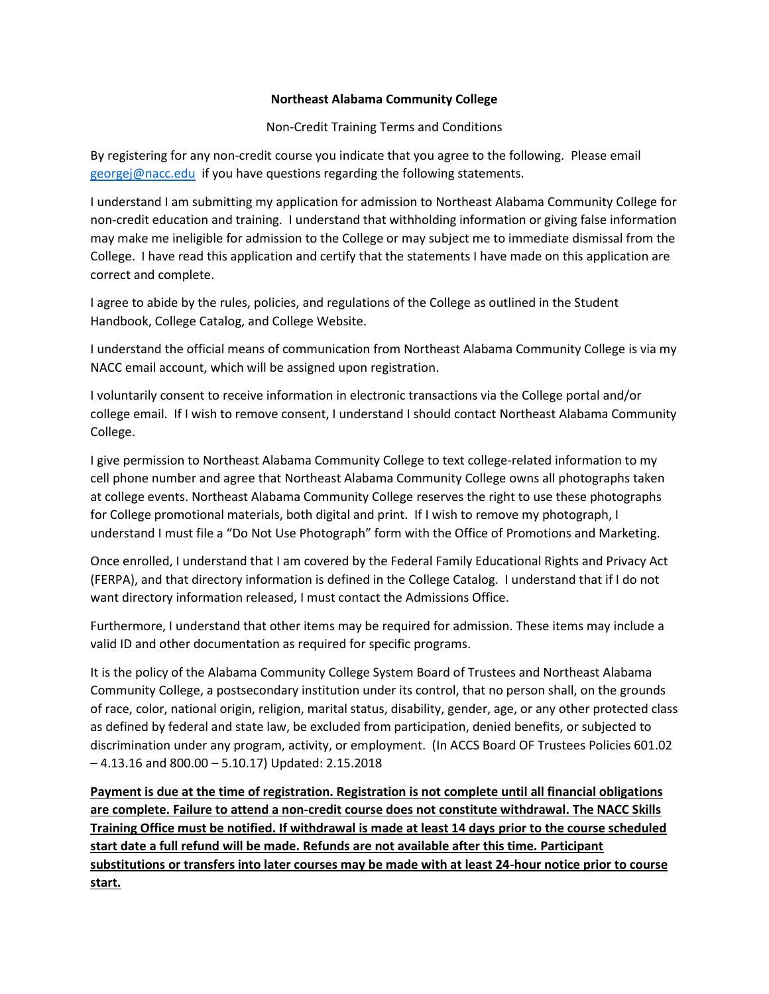## **Northeast Alabama Community College**

Non-Credit Training Terms and Conditions

By registering for any non-credit course you indicate that you agree to the following. Please email [georgej@nacc.edu](mailto:georgej@nacc.edu) if you have questions regarding the following statements.

I understand I am submitting my application for admission to Northeast Alabama Community College for non-credit education and training. I understand that withholding information or giving false information may make me ineligible for admission to the College or may subject me to immediate dismissal from the College. I have read this application and certify that the statements I have made on this application are correct and complete.

I agree to abide by the rules, policies, and regulations of the College as outlined in the Student Handbook, College Catalog, and College Website.

I understand the official means of communication from Northeast Alabama Community College is via my NACC email account, which will be assigned upon registration.

I voluntarily consent to receive information in electronic transactions via the College portal and/or college email. If I wish to remove consent, I understand I should contact Northeast Alabama Community College.

I give permission to Northeast Alabama Community College to text college-related information to my cell phone number and agree that Northeast Alabama Community College owns all photographs taken at college events. Northeast Alabama Community College reserves the right to use these photographs for College promotional materials, both digital and print. If I wish to remove my photograph, I understand I must file a "Do Not Use Photograph" form with the Office of Promotions and Marketing.

Once enrolled, I understand that I am covered by the Federal Family Educational Rights and Privacy Act (FERPA), and that directory information is defined in the College Catalog. I understand that if I do not want directory information released, I must contact the Admissions Office.

Furthermore, I understand that other items may be required for admission. These items may include a valid ID and other documentation as required for specific programs.

It is the policy of the Alabama Community College System Board of Trustees and Northeast Alabama Community College, a postsecondary institution under its control, that no person shall, on the grounds of race, color, national origin, religion, marital status, disability, gender, age, or any other protected class as defined by federal and state law, be excluded from participation, denied benefits, or subjected to discrimination under any program, activity, or employment. (In ACCS Board OF Trustees Policies 601.02 – 4.13.16 and 800.00 – 5.10.17) Updated: 2.15.2018

**Payment is due at the time of registration. Registration is not complete until all financial obligations are complete. Failure to attend a non-credit course does not constitute withdrawal. The NACC Skills Training Office must be notified. If withdrawal is made at least 14 days prior to the course scheduled start date a full refund will be made. Refunds are not available after this time. Participant substitutions or transfers into later courses may be made with at least 24-hour notice prior to course start.**